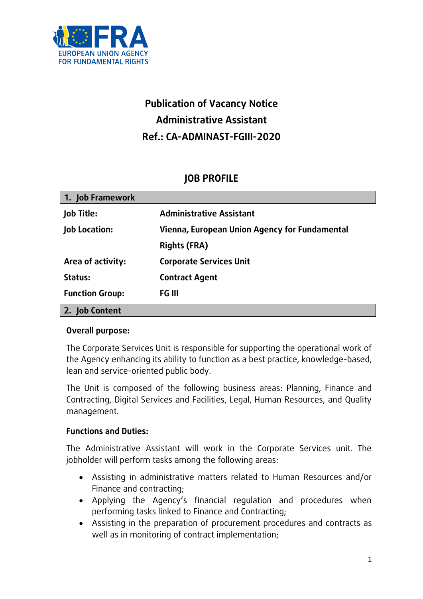

# **Publication of Vacancy Notice Administrative Assistant Ref.: CA-ADMINAST-FGIII-2020**

# **JOB PROFILE**

| 1. Job Framework       |                                               |
|------------------------|-----------------------------------------------|
| <b>Job Title:</b>      | <b>Administrative Assistant</b>               |
| <b>Job Location:</b>   | Vienna, European Union Agency for Fundamental |
|                        | <b>Rights (FRA)</b>                           |
| Area of activity:      | <b>Corporate Services Unit</b>                |
| Status:                | <b>Contract Agent</b>                         |
| <b>Function Group:</b> | FG III                                        |
| 2. Job Content         |                                               |

## **Overall purpose:**

The Corporate Services Unit is responsible for supporting the operational work of the Agency enhancing its ability to function as a best practice, knowledge-based, lean and service-oriented public body.

The Unit is composed of the following business areas: Planning, Finance and Contracting, Digital Services and Facilities, Legal, Human Resources, and Quality management.

## **Functions and Duties:**

The Administrative Assistant will work in the Corporate Services unit. The jobholder will perform tasks among the following areas:

- Assisting in administrative matters related to Human Resources and/or Finance and contracting;
- Applying the Agency's financial regulation and procedures when performing tasks linked to Finance and Contracting;
- Assisting in the preparation of procurement procedures and contracts as well as in monitoring of contract implementation;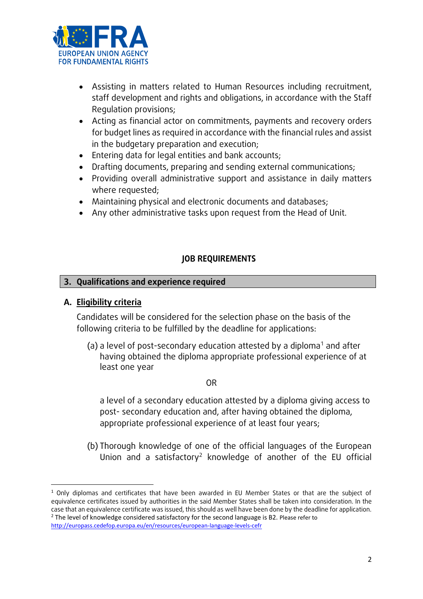

- Assisting in matters related to Human Resources including recruitment, staff development and rights and obligations, in accordance with the Staff Regulation provisions;
- Acting as financial actor on commitments, payments and recovery orders for budget lines as required in accordance with the financial rules and assist in the budgetary preparation and execution;
- Entering data for legal entities and bank accounts;
- Drafting documents, preparing and sending external communications;
- Providing overall administrative support and assistance in daily matters where requested;
- Maintaining physical and electronic documents and databases;
- Any other administrative tasks upon request from the Head of Unit.

## **JOB REQUIREMENTS**

#### **3. Qualifications and experience required**

### **A. Eligibility criteria**

Candidates will be considered for the selection phase on the basis of the following criteria to be fulfilled by the deadline for applications:

(a) a level of post-secondary education attested by a diploma<sup>1</sup> and after having obtained the diploma appropriate professional experience of at least one year

#### OR

a level of a secondary education attested by a diploma giving access to post- secondary education and, after having obtained the diploma, appropriate professional experience of at least four years;

(b) Thorough knowledge of one of the official languages of the European Union and a satisfactory<sup>2</sup> knowledge of another of the EU official

**<sup>.</sup>** <sup>1</sup> Only diplomas and certificates that have been awarded in EU Member States or that are the subject of equivalence certificates issued by authorities in the said Member States shall be taken into consideration. In the case that an equivalence certificate was issued, this should as well have been done by the deadline for application.  $2$  The level of knowledge considered satisfactory for the second language is B2. Please refer to

<http://europass.cedefop.europa.eu/en/resources/european-language-levels-cefr>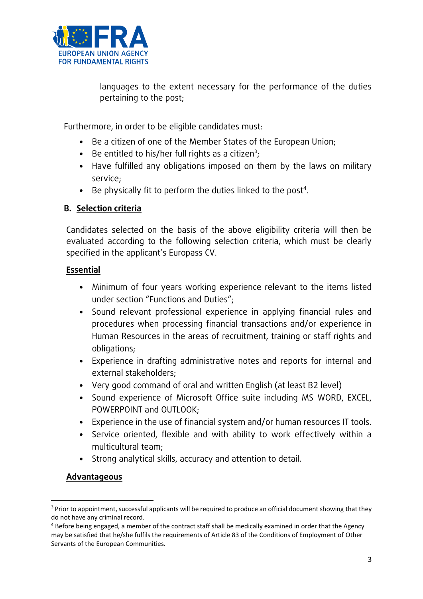

languages to the extent necessary for the performance of the duties pertaining to the post;

Furthermore, in order to be eligible candidates must:

- Be a citizen of one of the Member States of the European Union;
- Be entitled to his/her full rights as a citizen<sup>3</sup>;
- Have fulfilled any obligations imposed on them by the laws on military service;
- $\bullet$  Be physically fit to perform the duties linked to the post<sup>4</sup>.

# **B. Selection criteria**

Candidates selected on the basis of the above eligibility criteria will then be evaluated according to the following selection criteria, which must be clearly specified in the applicant's Europass CV.

## **Essential**

- Minimum of four years working experience relevant to the items listed under section "Functions and Duties";
- Sound relevant professional experience in applying financial rules and procedures when processing financial transactions and/or experience in Human Resources in the areas of recruitment, training or staff rights and obligations;
- Experience in drafting administrative notes and reports for internal and external stakeholders;
- Very good command of oral and written English (at least B2 level)
- Sound experience of Microsoft Office suite including MS WORD, EXCEL, POWERPOINT and OUTLOOK;
- Experience in the use of financial system and/or human resources IT tools.
- Service oriented, flexible and with ability to work effectively within a multicultural team;
- Strong analytical skills, accuracy and attention to detail.

# **Advantageous**

**<sup>.</sup>** <sup>3</sup> Prior to appointment, successful applicants will be required to produce an official document showing that they do not have any criminal record.

<sup>4</sup> Before being engaged, a member of the contract staff shall be medically examined in order that the Agency may be satisfied that he/she fulfils the requirements of Article 83 of the Conditions of Employment of Other Servants of the European Communities.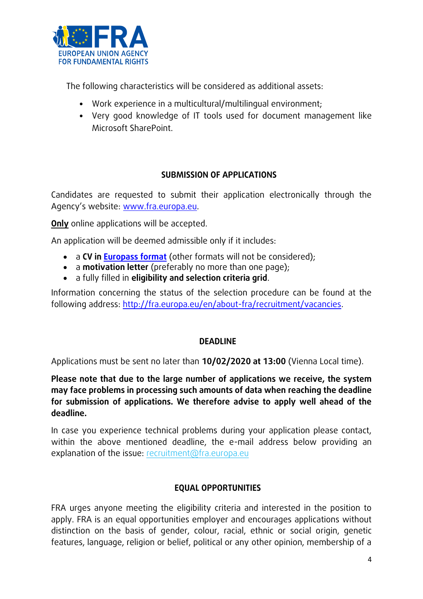

The following characteristics will be considered as additional assets:

- Work experience in a multicultural/multilingual environment;
- Very good knowledge of IT tools used for document management like Microsoft SharePoint.

## **SUBMISSION OF APPLICATIONS**

Candidates are requested to submit their application electronically through the Agency's website: [www.fra.europa.eu.](http://www.fra.europa.eu/)

**Only** online applications will be accepted.

An application will be deemed admissible only if it includes:

- a **CV in [Europass format](http://europass.cedefop.europa.eu/en/documents/curriculum-vitae/templates-instructions)** (other formats will not be considered);
- a **motivation letter** (preferably no more than one page);
- a fully filled in **eligibility and selection criteria grid**.

Information concerning the status of the selection procedure can be found at the following address: [http://fra.europa.eu/en/about-fra/recruitment/vacancies.](http://fra.europa.eu/en/about-fra/recruitment/vacancies)

## **DEADLINE**

Applications must be sent no later than **10/02/2020 at 13:00** (Vienna Local time).

**Please note that due to the large number of applications we receive, the system may face problems in processing such amounts of data when reaching the deadline for submission of applications. We therefore advise to apply well ahead of the deadline.** 

In case you experience technical problems during your application please contact, within the above mentioned deadline, the e-mail address below providing an explanation of the issue: [recruitment@fra.europa.eu](mailto:recruitment@fra.europa.eu)

## **EQUAL OPPORTUNITIES**

FRA urges anyone meeting the eligibility criteria and interested in the position to apply. FRA is an equal opportunities employer and encourages applications without distinction on the basis of gender, colour, racial, ethnic or social origin, genetic features, language, religion or belief, political or any other opinion, membership of a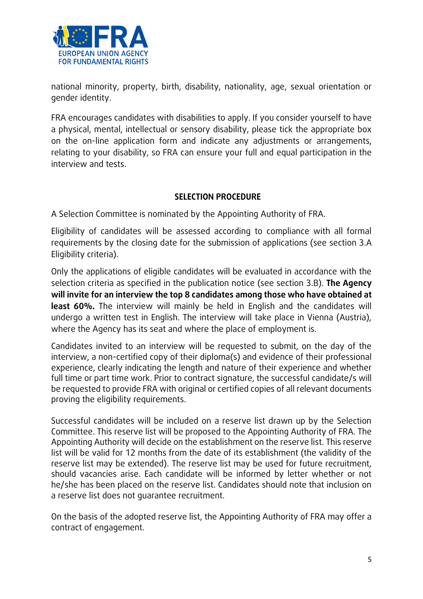

national minority, property, birth, disability, nationality, age, sexual orientation or gender identity.

FRA encourages candidates with disabilities to apply. If you consider yourself to have a physical, mental, intellectual or sensory disability, please tick the appropriate box on the on-line application form and indicate any adjustments or arrangements, relating to your disability, so FRA can ensure your full and equal participation in the interview and tests.

## **SELECTION PROCEDURE**

A Selection Committee is nominated by the Appointing Authority of FRA.

Eligibility of candidates will be assessed according to compliance with all formal requirements by the closing date for the submission of applications (see section 3.A Eligibility criteria).

Only the applications of eligible candidates will be evaluated in accordance with the selection criteria as specified in the publication notice (see section 3.B). **The Agency will invite for an interview the top 8 candidates among those who have obtained at least 60%.** The interview will mainly be held in English and the candidates will undergo a written test in English. The interview will take place in Vienna (Austria), where the Agency has its seat and where the place of employment is.

Candidates invited to an interview will be requested to submit, on the day of the interview, a non-certified copy of their diploma(s) and evidence of their professional experience, clearly indicating the length and nature of their experience and whether full time or part time work. Prior to contract signature, the successful candidate/s will be requested to provide FRA with original or certified copies of all relevant documents proving the eligibility requirements.

Successful candidates will be included on a reserve list drawn up by the Selection Committee. This reserve list will be proposed to the Appointing Authority of FRA. The Appointing Authority will decide on the establishment on the reserve list. This reserve list will be valid for 12 months from the date of its establishment (the validity of the reserve list may be extended). The reserve list may be used for future recruitment, should vacancies arise. Each candidate will be informed by letter whether or not he/she has been placed on the reserve list. Candidates should note that inclusion on a reserve list does not guarantee recruitment.

On the basis of the adopted reserve list, the Appointing Authority of FRA may offer a contract of engagement.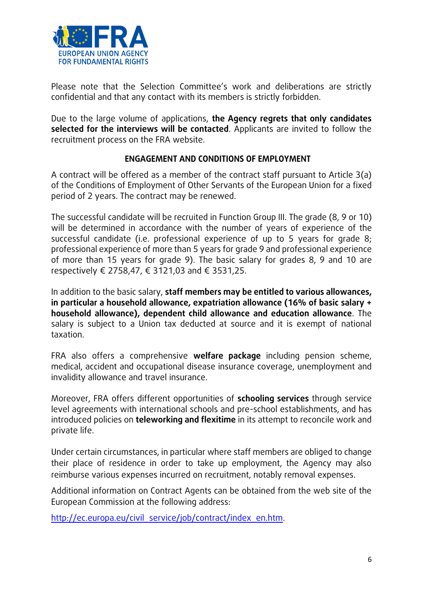

Please note that the Selection Committee's work and deliberations are strictly confidential and that any contact with its members is strictly forbidden.

Due to the large volume of applications, **the Agency regrets that only candidates selected for the interviews will be contacted**. Applicants are invited to follow the recruitment process on the FRA website.

## **ENGAGEMENT AND CONDITIONS OF EMPLOYMENT**

A contract will be offered as a member of the contract staff pursuant to Article 3(a) of the Conditions of Employment of Other Servants of the European Union for a fixed period of 2 years. The contract may be renewed.

The successful candidate will be recruited in Function Group III. The grade (8, 9 or 10) will be determined in accordance with the number of years of experience of the successful candidate (i.e. professional experience of up to 5 years for grade 8; professional experience of more than 5 years for grade 9 and professional experience of more than 15 years for grade 9). The basic salary for grades 8, 9 and 10 are respectively € 2758,47, € 3121,03 and € 3531,25.

In addition to the basic salary, **staff members may be entitled to various allowances, in particular a household allowance, expatriation allowance (16% of basic salary + household allowance), dependent child allowance and education allowance**. The salary is subject to a Union tax deducted at source and it is exempt of national taxation.

FRA also offers a comprehensive **welfare package** including pension scheme, medical, accident and occupational disease insurance coverage, unemployment and invalidity allowance and travel insurance.

Moreover, FRA offers different opportunities of **schooling services** through service level agreements with international schools and pre-school establishments, and has introduced policies on **teleworking and flexitime** in its attempt to reconcile work and private life.

Under certain circumstances, in particular where staff members are obliged to change their place of residence in order to take up employment, the Agency may also reimburse various expenses incurred on recruitment, notably removal expenses.

Additional information on Contract Agents can be obtained from the web site of the European Commission at the following address:

[http://ec.europa.eu/civil\\_service/job/contract/index\\_en.htm.](http://ec.europa.eu/civil_service/job/contract/index_en.htm)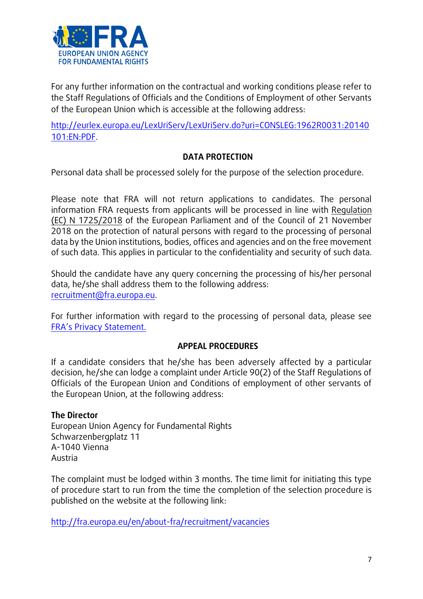

For any further information on the contractual and working conditions please refer to the Staff Regulations of Officials and the Conditions of Employment of other Servants of the European Union which is accessible at the following address:

[http://eurlex.europa.eu/LexUriServ/LexUriServ.do?uri=CONSLEG:1962R0031:20140](http://eur-lex.europa.eu/LexUriServ/LexUriServ.do?uri=CONSLEG:1962R0031:20140101:EN:PDF) [101:EN:PDF.](http://eur-lex.europa.eu/LexUriServ/LexUriServ.do?uri=CONSLEG:1962R0031:20140101:EN:PDF)

## **DATA PROTECTION**

Personal data shall be processed solely for the purpose of the selection procedure.

Please note that FRA will not return applications to candidates. The personal information FRA requests from applicants will be processed in line with Regulation (EC) N 1725/2018 of the European Parliament and of the Council of 21 November 2018 on the protection of natural persons with regard to the processing of personal data by the Union institutions, bodies, offices and agencies and on the free movement of such data. This applies in particular to the confidentiality and security of such data.

Should the candidate have any query concerning the processing of his/her personal data, he/she shall address them to the following address: [recruitment@fra.europa.eu.](mailto:recruitment@fra.europa.eu)

For further information with regard to the processing of personal data, please see [FRA's Privacy Statement.](http://fra.europa.eu/sites/default/files/fra_uploads/618-Privacy-statement.pdf)

## **APPEAL PROCEDURES**

If a candidate considers that he/she has been adversely affected by a particular decision, he/she can lodge a complaint under Article 90(2) of the Staff Regulations of Officials of the European Union and Conditions of employment of other servants of the European Union, at the following address:

#### **The Director**

European Union Agency for Fundamental Rights Schwarzenbergplatz 11 A-1040 Vienna Austria

The complaint must be lodged within 3 months. The time limit for initiating this type of procedure start to run from the time the completion of the selection procedure is published on the website at the following link:

<http://fra.europa.eu/en/about-fra/recruitment/vacancies>